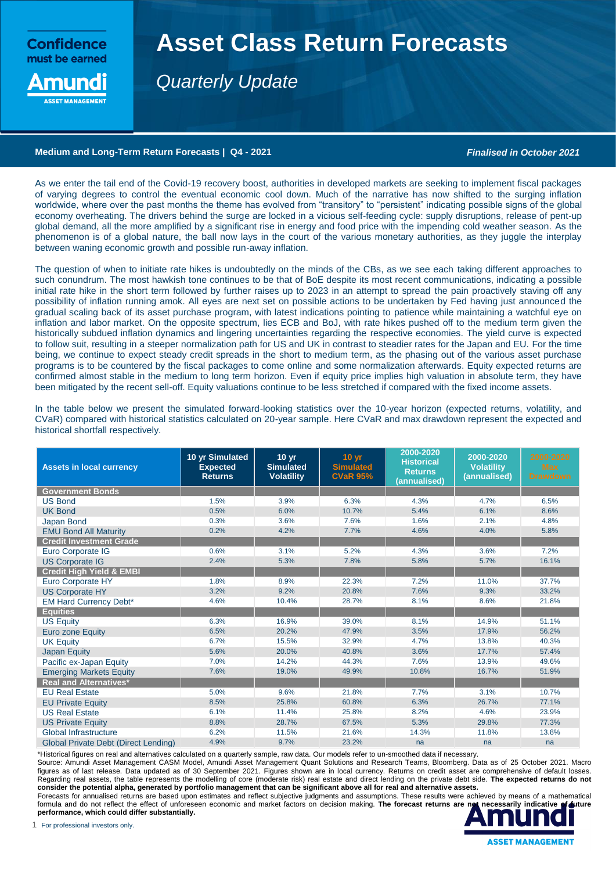**Confidence** must be earned

nund

# **Asset Class Return Forecasts**

*Quarterly Update*

## **Medium and Long-Term Return Forecasts | Q4 - 2021** *Finalised in October 2021*

As we enter the tail end of the Covid-19 recovery boost, authorities in developed markets are seeking to implement fiscal packages of varying degrees to control the eventual economic cool down. Much of the narrative has now shifted to the surging inflation worldwide, where over the past months the theme has evolved from "transitory" to "persistent" indicating possible signs of the global economy overheating. The drivers behind the surge are locked in a vicious self-feeding cycle: supply disruptions, release of pent-up global demand, all the more amplified by a significant rise in energy and food price with the impending cold weather season. As the phenomenon is of a global nature, the ball now lays in the court of the various monetary authorities, as they juggle the interplay between waning economic growth and possible run-away inflation.

The question of when to initiate rate hikes is undoubtedly on the minds of the CBs, as we see each taking different approaches to such conundrum. The most hawkish tone continues to be that of BoE despite its most recent communications, indicating a possible initial rate hike in the short term followed by further raises up to 2023 in an attempt to spread the pain proactively staving off any possibility of inflation running amok. All eyes are next set on possible actions to be undertaken by Fed having just announced the gradual scaling back of its asset purchase program, with latest indications pointing to patience while maintaining a watchful eye on inflation and labor market. On the opposite spectrum, lies ECB and BoJ, with rate hikes pushed off to the medium term given the historically subdued inflation dynamics and lingering uncertainties regarding the respective economies. The yield curve is expected to follow suit, resulting in a steeper normalization path for US and UK in contrast to steadier rates for the Japan and EU. For the time being, we continue to expect steady credit spreads in the short to medium term, as the phasing out of the various asset purchase programs is to be countered by the fiscal packages to come online and some normalization afterwards. Equity expected returns are confirmed almost stable in the medium to long term horizon. Even if equity price implies high valuation in absolute term, they have been mitigated by the recent sell-off. Equity valuations continue to be less stretched if compared with the fixed income assets.

| <b>Assets in local currency</b>             | 10 yr Simulated<br><b>Expected</b><br><b>Returns</b> | 10 <sub>yr</sub><br><b>Simulated</b><br><b>Volatility</b> | 10 <sub>yr</sub><br><b>Simulated</b><br><b>CVaR 95%</b> | 2000-2020<br><b>Historical</b><br><b>Returns</b><br>(annualised) | 2000-2020<br><b>Volatility</b><br>(annualised) | 2000-2020<br><b>Max</b><br><b>Drawdown</b> |
|---------------------------------------------|------------------------------------------------------|-----------------------------------------------------------|---------------------------------------------------------|------------------------------------------------------------------|------------------------------------------------|--------------------------------------------|
| <b>Government Bonds</b>                     |                                                      |                                                           |                                                         |                                                                  |                                                |                                            |
| <b>US Bond</b>                              | 1.5%                                                 | 3.9%                                                      | 6.3%                                                    | 4.3%                                                             | 4.7%                                           | 6.5%                                       |
| <b>UK Bond</b>                              | 0.5%                                                 | 6.0%                                                      | 10.7%                                                   | 5.4%                                                             | 6.1%                                           | 8.6%                                       |
| Japan Bond                                  | 0.3%                                                 | 3.6%                                                      | 7.6%                                                    | 1.6%                                                             | 2.1%                                           | 4.8%                                       |
| <b>EMU Bond All Maturity</b>                | 0.2%                                                 | 4.2%                                                      | 7.7%                                                    | 4.6%                                                             | 4.0%                                           | 5.8%                                       |
| <b>Credit Investment Grade</b>              |                                                      |                                                           |                                                         |                                                                  |                                                |                                            |
| Euro Corporate IG                           | 0.6%                                                 | 3.1%                                                      | 5.2%                                                    | 4.3%                                                             | 3.6%                                           | 7.2%                                       |
| <b>US Corporate IG</b>                      | 2.4%                                                 | 5.3%                                                      | 7.8%                                                    | 5.8%                                                             | 5.7%                                           | 16.1%                                      |
| <b>Credit High Yield &amp; EMBI</b>         |                                                      |                                                           |                                                         |                                                                  |                                                |                                            |
| Euro Corporate HY                           | 1.8%                                                 | 8.9%                                                      | 22.3%                                                   | 7.2%                                                             | 11.0%                                          | 37.7%                                      |
| <b>US Corporate HY</b>                      | 3.2%                                                 | 9.2%                                                      | 20.8%                                                   | 7.6%                                                             | 9.3%                                           | 33.2%                                      |
| <b>EM Hard Currency Debt*</b>               | 4.6%                                                 | 10.4%                                                     | 28.7%                                                   | 8.1%                                                             | 8.6%                                           | 21.8%                                      |
| <b>Equities</b>                             |                                                      |                                                           |                                                         |                                                                  |                                                |                                            |
| <b>US Equity</b>                            | 6.3%                                                 | 16.9%                                                     | 39.0%                                                   | 8.1%                                                             | 14.9%                                          | 51.1%                                      |
| <b>Euro zone Equity</b>                     | 6.5%                                                 | 20.2%                                                     | 47.9%                                                   | 3.5%                                                             | 17.9%                                          | 56.2%                                      |
| <b>UK Equity</b>                            | 6.7%                                                 | 15.5%                                                     | 32.9%                                                   | 4.7%                                                             | 13.8%                                          | 40.3%                                      |
| <b>Japan Equity</b>                         | 5.6%                                                 | 20.0%                                                     | 40.8%                                                   | 3.6%                                                             | 17.7%                                          | 57.4%                                      |
| Pacific ex-Japan Equity                     | 7.0%                                                 | 14.2%                                                     | 44.3%                                                   | 7.6%                                                             | 13.9%                                          | 49.6%                                      |
| <b>Emerging Markets Equity</b>              | 7.6%                                                 | 19.0%                                                     | 49.9%                                                   | 10.8%                                                            | 16.7%                                          | 51.9%                                      |
| <b>Real and Alternatives*</b>               |                                                      |                                                           |                                                         |                                                                  |                                                |                                            |
| <b>EU Real Estate</b>                       | 5.0%                                                 | 9.6%                                                      | 21.8%                                                   | 7.7%                                                             | 3.1%                                           | 10.7%                                      |
| <b>EU Private Equity</b>                    | 8.5%                                                 | 25.8%                                                     | 60.8%                                                   | 6.3%                                                             | 26.7%                                          | 77.1%                                      |
| <b>US Real Estate</b>                       | 6.1%                                                 | 11.4%                                                     | 25.8%                                                   | 8.2%                                                             | 4.6%                                           | 23.9%                                      |
| <b>US Private Equity</b>                    | 8.8%                                                 | 28.7%                                                     | 67.5%                                                   | 5.3%                                                             | 29.8%                                          | 77.3%                                      |
| Global Infrastructure                       | 6.2%                                                 | 11.5%                                                     | 21.6%                                                   | 14.3%                                                            | 11.8%                                          | 13.8%                                      |
| <b>Global Private Debt (Direct Lending)</b> | 4.9%                                                 | 9.7%                                                      | 23.2%                                                   | na                                                               | na                                             | na                                         |

In the table below we present the simulated forward-looking statistics over the 10-year horizon (expected returns, volatility, and CVaR) compared with historical statistics calculated on 20-year sample. Here CVaR and max drawdown represent the expected and historical shortfall respectively.

\*Historical figures on real and alternatives calculated on a quarterly sample, raw data. Our models refer to un-smoothed data if necessary.

Source: Amundi Asset Management CASM Model, Amundi Asset Management Quant Solutions and Research Teams, Bloomberg. Data as of 25 October 2021. Macro figures as of last release. Data updated as of 30 September 2021. Figures shown are in local currency. Returns on credit asset are comprehensive of default losses. Regarding real assets, the table represents the modelling of core (moderate risk) real estate and direct lending on the private debt side. **The expected returns do not consider the potential alpha, generated by portfolio management that can be significant above all for real and alternative assets.** 

Forecasts for annualised returns are based upon estimates and reflect subjective judgments and assumptions. These results were achieved by means of a mathematical formula and do not reflect the effect of unforeseen economic and market factors on decision making. The forecast returns are not necessarily indicative of duture **performance, which could differ substantially.**

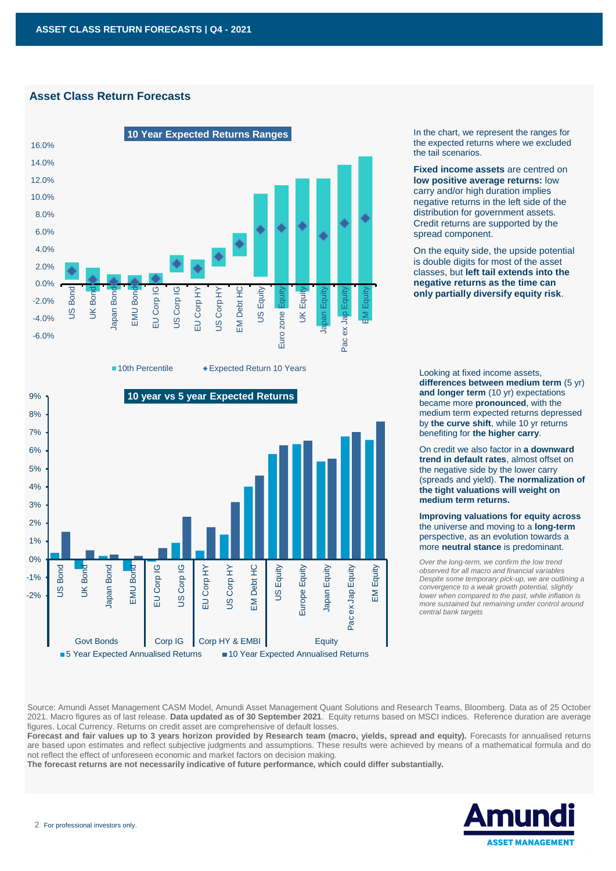# **Asset Class Return Forecasts**





In the chart, we represent the ranges for the expected returns where we excluded the tail scenarios.

**Fixed income assets** are centred on **low positive average returns:** low carry and/or high duration implies negative returns in the left side of the distribution for government assets. Credit returns are supported by the spread component.

On the equity side, the upside potential is double digits for most of the asset classes, but **left tail extends into the negative returns as the time can only partially diversify equity risk**.

Looking at fixed income assets, **differences between medium term** (5 yr) **and longer term** (10 yr) expectations became more **pronounced**, with the medium term expected returns depressed by **the curve shift**, while 10 yr returns benefiting for **the higher carry**.

On credit we also factor in **a downward trend in default rates**, almost offset on the negative side by the lower carry (spreads and yield). **The normalization of the tight valuations will weight on medium term returns.**

**Improving valuations for equity across** the universe and moving to a **long-term** perspective, as an evolution towards a more **neutral stance** is predominant.

*Over the long-term, we confirm the low trend observed for all macro and financial variables Despite some temporary pick-up, we are outlining a convergence to a weak growth potential, slightly lower when compared to the past, while inflation is more sustained but remaining under control around central bank targets* 

Source: Amundi Asset Management CASM Model, Amundi Asset Management Quant Solutions and Research Teams, Bloomberg. Data as of 25 October 2021. Macro figures as of last release. **Data updated as of 30 September 2021**. Equity returns based on MSCI indices. Reference duration are average figures. Local Currency. Returns on credit asset are comprehensive of default losses.

**Forecast and fair values up to 3 years horizon provided by Research team (macro, yields, spread and equity).** Forecasts for annualised returns are based upon estimates and reflect subjective judgments and assumptions. These results were achieved by means of a mathematical formula and do not reflect the effect of unforeseen economic and market factors on decision making.<br>The forecast returns are not necessarily indicative of future performance, which could differ substantially.

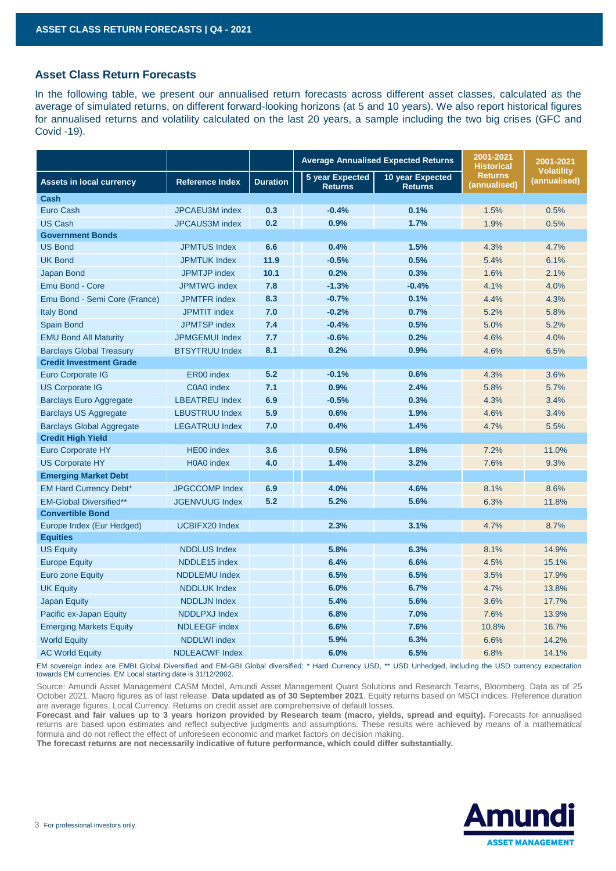# **Asset Class Return Forecasts**

In the following table, we present our annualised return forecasts across different asset classes, calculated as the average of simulated returns, on different forward-looking horizons (at 5 and 10 years). We also report historical figures for annualised returns and volatility calculated on the last 20 years, a sample including the two big crises (GFC and Covid -19).

|                                  |                        |                 | <b>Average Annualised Expected Returns</b> |                                    | 2001-2021<br><b>Historical</b> | 2001-2021                         |
|----------------------------------|------------------------|-----------------|--------------------------------------------|------------------------------------|--------------------------------|-----------------------------------|
| <b>Assets in local currency</b>  | <b>Reference Index</b> | <b>Duration</b> | 5 year Expected<br><b>Returns</b>          | 10 year Expected<br><b>Returns</b> | <b>Returns</b><br>(annualised) | <b>Volatility</b><br>(annualised) |
| Cash                             |                        |                 |                                            |                                    |                                |                                   |
| Euro Cash                        | JPCAEU3M index         | 0.3             | $-0.4%$                                    | 0.1%                               | 1.5%                           | 0.5%                              |
| <b>US Cash</b>                   | <b>JPCAUS3M</b> index  | 0.2             | 0.9%                                       | 1.7%                               | 1.9%                           | 0.5%                              |
| <b>Government Bonds</b>          |                        |                 |                                            |                                    |                                |                                   |
| <b>US Bond</b>                   | <b>JPMTUS Index</b>    | 6.6             | 0.4%                                       | 1.5%                               | 4.3%                           | 4.7%                              |
| <b>UK Bond</b>                   | <b>JPMTUK Index</b>    | 11.9            | $-0.5%$                                    | 0.5%                               | 5.4%                           | 6.1%                              |
| Japan Bond                       | <b>JPMTJP</b> index    | 10.1            | 0.2%                                       | 0.3%                               | 1.6%                           | 2.1%                              |
| Emu Bond - Core                  | <b>JPMTWG</b> index    | 7.8             | $-1.3%$                                    | $-0.4%$                            | 4.1%                           | 4.0%                              |
| Emu Bond - Semi Core (France)    | <b>JPMTFR</b> index    | 8.3             | $-0.7%$                                    | 0.1%                               | 4.4%                           | 4.3%                              |
| <b>Italy Bond</b>                | <b>JPMTIT</b> index    | 7.0             | $-0.2%$                                    | 0.7%                               | 5.2%                           | 5.8%                              |
| Spain Bond                       | <b>JPMTSP</b> index    | 7.4             | $-0.4%$                                    | 0.5%                               | 5.0%                           | 5.2%                              |
| <b>EMU Bond All Maturity</b>     | <b>JPMGEMUI Index</b>  | 7.7             | $-0.6%$                                    | 0.2%                               | 4.6%                           | 4.0%                              |
| <b>Barclays Global Treasury</b>  | <b>BTSYTRUU Index</b>  | 8.1             | 0.2%                                       | 0.9%                               | 4.6%                           | 6.5%                              |
| <b>Credit Investment Grade</b>   |                        |                 |                                            |                                    |                                |                                   |
| Euro Corporate IG                | ER00 index             | 5.2             | $-0.1%$                                    | 0.6%                               | 4.3%                           | 3.6%                              |
| <b>US Corporate IG</b>           | C0A0 index             | 7.1             | 0.9%                                       | 2.4%                               | 5.8%                           | 5.7%                              |
| <b>Barclays Euro Aggregate</b>   | <b>LBEATREU Index</b>  | 6.9             | $-0.5%$                                    | 0.3%                               | 4.3%                           | 3.4%                              |
| <b>Barclays US Aggregate</b>     | <b>LBUSTRUU Index</b>  | 5.9             | 0.6%                                       | 1.9%                               | 4.6%                           | 3.4%                              |
| <b>Barclays Global Aggregate</b> | <b>LEGATRUU Index</b>  | 7.0             | 0.4%                                       | 1.4%                               | 4.7%                           | 5.5%                              |
| <b>Credit High Yield</b>         |                        |                 |                                            |                                    |                                |                                   |
| Euro Corporate HY                | HE00 index             | 3.6             | 0.5%                                       | 1.8%                               | 7.2%                           | 11.0%                             |
| <b>US Corporate HY</b>           | H0A0 index             | 4.0             | 1.4%                                       | 3.2%                               | 7.6%                           | 9.3%                              |
| <b>Emerging Market Debt</b>      |                        |                 |                                            |                                    |                                |                                   |
| <b>EM Hard Currency Debt*</b>    | <b>JPGCCOMP</b> Index  | 6.9             | 4.0%                                       | 4.6%                               | 8.1%                           | 8.6%                              |
| <b>EM-Global Diversified**</b>   | <b>JGENVUUG Index</b>  | 5.2             | 5.2%                                       | 5.6%                               | 6.3%                           | 11.8%                             |
| <b>Convertible Bond</b>          |                        |                 |                                            |                                    |                                |                                   |
| Europe Index (Eur Hedged)        | <b>UCBIFX20 Index</b>  |                 | 2.3%                                       | 3.1%                               | 4.7%                           | 8.7%                              |
| <b>Equities</b>                  |                        |                 |                                            |                                    |                                |                                   |
| <b>US Equity</b>                 | <b>NDDLUS Index</b>    |                 | 5.8%                                       | 6.3%                               | 8.1%                           | 14.9%                             |
| <b>Europe Equity</b>             | NDDLE15 index          |                 | 6.4%                                       | 6.6%                               | 4.5%                           | 15.1%                             |
| Euro zone Equity                 | <b>NDDLEMU</b> Index   |                 | 6.5%                                       | 6.5%                               | 3.5%                           | 17.9%                             |
| <b>UK Equity</b>                 | <b>NDDLUK Index</b>    |                 | 6.0%                                       | 6.7%                               | 4.7%                           | 13.8%                             |
| Japan Equity                     | <b>NDDLJN Index</b>    |                 | 5.4%                                       | 5.6%                               | 3.6%                           | 17.7%                             |
| Pacific ex-Japan Equity          | <b>NDDLPXJ Index</b>   |                 | 6.8%                                       | 7.0%                               | 7.6%                           | 13.9%                             |
| <b>Emerging Markets Equity</b>   | <b>NDLEEGF index</b>   |                 | 6.6%                                       | 7.6%                               | 10.8%                          | 16.7%                             |
| <b>World Equity</b>              | <b>NDDLWI</b> index    |                 | 5.9%                                       | 6.3%                               | 6.6%                           | 14.2%                             |
| <b>AC World Equity</b>           | <b>NDLEACWF Index</b>  |                 | 6.0%                                       | 6.5%                               | 6.8%                           | 14.1%                             |

EM sovereign index are EMBI Global Diversified and EM-GBI Global diversified: \* Hard Currency USD, \*\* USD Unhedged, including the USD currency expectation towards EM currencies. EM Local starting date is 31/12/2002.

Source: Amundi Asset Management CASM Model, Amundi Asset Management Quant Solutions and Research Teams, Bloomberg. Data as of 25 October 2021. Macro figures as of last release. **Data updated as of 30 September 2021**. Equity returns based on MSCI indices. Reference duration are average figures. Local Currency. Returns on credit asset are comprehensive of default losses.

Forecast and fair values up to 3 years horizon provided by Research team (macro, yields, spread and equity). Forecasts for annualised returns are based upon estimates and reflect subjective judgments and assumptions. These results were achieved by means of a mathematical formula and do not reflect the effect of unforeseen economic and market factors on decision making.

**The forecast returns are not necessarily indicative of future performance, which could differ substantially.**